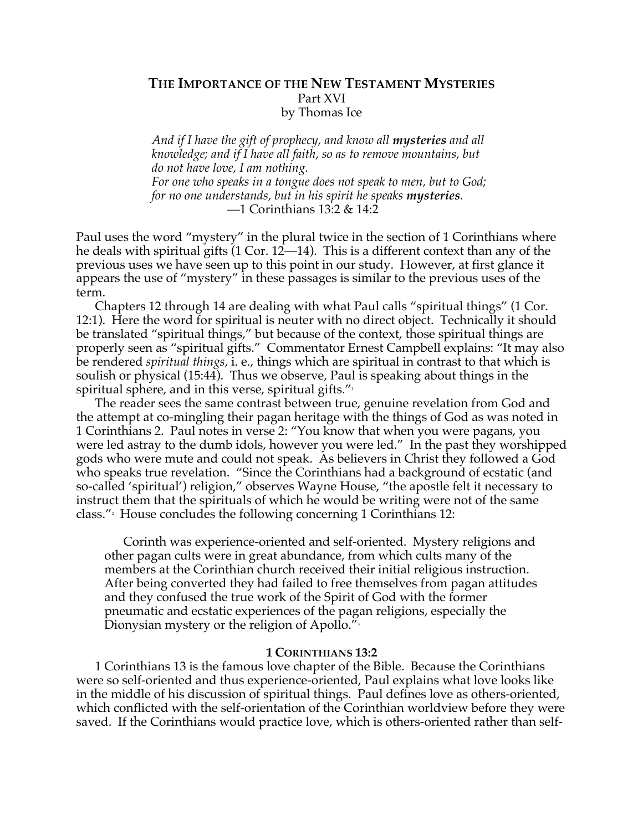## **THE IMPORTANCE OF THE NEW TESTAMENT MYSTERIES** Part XVI by Thomas Ice

*And if I have the gift of prophecy, and know all mysteries and all knowledge; and if I have all faith, so as to remove mountains, but do not have love, I am nothing. For one who speaks in a tongue does not speak to men, but to God; for no one understands, but in his spirit he speaks mysteries.* —1 Corinthians 13:2 & 14:2

Paul uses the word "mystery" in the plural twice in the section of 1 Corinthians where he deals with spiritual gifts (1 Cor. 12—14). This is a different context than any of the previous uses we have seen up to this point in our study. However, at first glance it appears the use of "mystery" in these passages is similar to the previous uses of the term.

Chapters 12 through 14 are dealing with what Paul calls "spiritual things" (1 Cor. 12:1). Here the word for spiritual is neuter with no direct object. Technically it should be translated "spiritual things," but because of the context, those spiritual things are properly seen as "spiritual gifts." Commentator Ernest Campbell explains: "It may also be rendered *spiritual things*, i. e., things which are spiritual in contrast to that which is soulish or physical (15:44). Thus we observe, Paul is speaking about things in the spiritual sphere, and in this verse, spiritual gifts. $"$ 

The reader sees the same contrast between true, genuine revelation from God and the attempt at co-mingling their pagan heritage with the things of God as was noted in 1 Corinthians 2. Paul notes in verse 2: "You know that when you were pagans, you were led astray to the dumb idols, however you were led." In the past they worshipped gods who were mute and could not speak. As believers in Christ they followed a God who speaks true revelation. "Since the Corinthians had a background of ecstatic (and so-called 'spiritual') religion," observes Wayne House, "the apostle felt it necessary to instruct them that the spirituals of which he would be writing were not of the same class."2 House concludes the following concerning 1 Corinthians 12:

Corinth was experience-oriented and self-oriented. Mystery religions and other pagan cults were in great abundance, from which cults many of the members at the Corinthian church received their initial religious instruction. After being converted they had failed to free themselves from pagan attitudes and they confused the true work of the Spirit of God with the former pneumatic and ecstatic experiences of the pagan religions, especially the Dionysian mystery or the religion of Apollo."<sup>3</sup>

## **1 CORINTHIANS 13:2**

1 Corinthians 13 is the famous love chapter of the Bible. Because the Corinthians were so self-oriented and thus experience-oriented, Paul explains what love looks like in the middle of his discussion of spiritual things. Paul defines love as others-oriented, which conflicted with the self-orientation of the Corinthian worldview before they were saved. If the Corinthians would practice love, which is others-oriented rather than self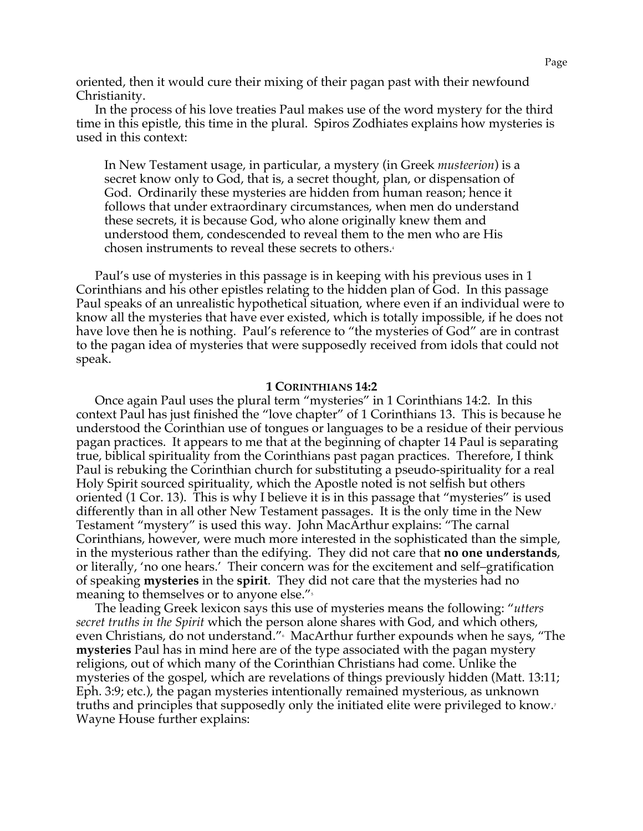oriented, then it would cure their mixing of their pagan past with their newfound Christianity.

In the process of his love treaties Paul makes use of the word mystery for the third time in this epistle, this time in the plural. Spiros Zodhiates explains how mysteries is used in this context:

In New Testament usage, in particular, a mystery (in Greek *musteerion*) is a secret know only to God, that is, a secret thought, plan, or dispensation of God. Ordinarily these mysteries are hidden from human reason; hence it follows that under extraordinary circumstances, when men do understand these secrets, it is because God, who alone originally knew them and understood them, condescended to reveal them to the men who are His chosen instruments to reveal these secrets to others.4

Paul's use of mysteries in this passage is in keeping with his previous uses in 1 Corinthians and his other epistles relating to the hidden plan of God. In this passage Paul speaks of an unrealistic hypothetical situation, where even if an individual were to know all the mysteries that have ever existed, which is totally impossible, if he does not have love then he is nothing. Paul's reference to "the mysteries of God" are in contrast to the pagan idea of mysteries that were supposedly received from idols that could not speak.

## **1 CORINTHIANS 14:2**

Once again Paul uses the plural term "mysteries" in 1 Corinthians 14:2. In this context Paul has just finished the "love chapter" of 1 Corinthians 13. This is because he understood the Corinthian use of tongues or languages to be a residue of their pervious pagan practices. It appears to me that at the beginning of chapter 14 Paul is separating true, biblical spirituality from the Corinthians past pagan practices. Therefore, I think Paul is rebuking the Corinthian church for substituting a pseudo-spirituality for a real Holy Spirit sourced spirituality, which the Apostle noted is not selfish but others oriented (1 Cor. 13). This is why I believe it is in this passage that "mysteries" is used differently than in all other New Testament passages. It is the only time in the New Testament "mystery" is used this way. John MacArthur explains: "The carnal Corinthians, however, were much more interested in the sophisticated than the simple, in the mysterious rather than the edifying. They did not care that **no one understands**, or literally, 'no one hears.' Their concern was for the excitement and self–gratification of speaking **mysteries** in the **spirit**. They did not care that the mysteries had no meaning to themselves or to anyone else."<sup>5</sup>

The leading Greek lexicon says this use of mysteries means the following: "*utters secret truths in the Spirit* which the person alone shares with God, and which others, even Christians, do not understand."6 MacArthur further expounds when he says, "The **mysteries** Paul has in mind here are of the type associated with the pagan mystery religions, out of which many of the Corinthian Christians had come. Unlike the mysteries of the gospel, which are revelations of things previously hidden (Matt. 13:11; Eph. 3:9; etc.), the pagan mysteries intentionally remained mysterious, as unknown truths and principles that supposedly only the initiated elite were privileged to know.<sup>7</sup> Wayne House further explains: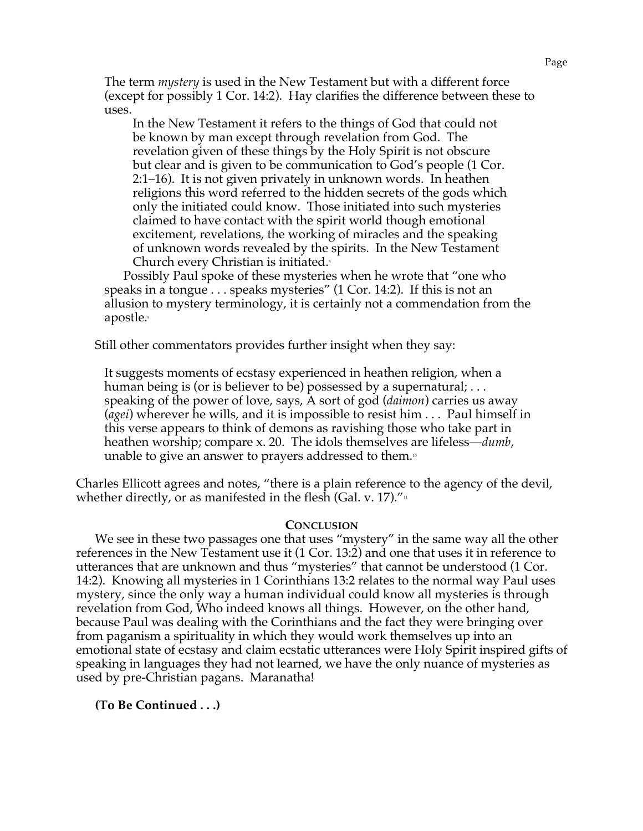The term *mystery* is used in the New Testament but with a different force (except for possibly 1 Cor. 14:2). Hay clarifies the difference between these to uses.

In the New Testament it refers to the things of God that could not be known by man except through revelation from God. The revelation given of these things by the Holy Spirit is not obscure but clear and is given to be communication to God's people (1 Cor. 2:1–16). It is not given privately in unknown words. In heathen religions this word referred to the hidden secrets of the gods which only the initiated could know. Those initiated into such mysteries claimed to have contact with the spirit world though emotional excitement, revelations, the working of miracles and the speaking of unknown words revealed by the spirits. In the New Testament Church every Christian is initiated.<sup>8</sup>

Possibly Paul spoke of these mysteries when he wrote that "one who speaks in a tongue . . . speaks mysteries" (1 Cor. 14:2). If this is not an allusion to mystery terminology, it is certainly not a commendation from the apostle.<sup>9</sup>

Still other commentators provides further insight when they say:

It suggests moments of ecstasy experienced in heathen religion, when a human being is (or is believer to be) possessed by a supernatural; ... speaking of the power of love, says, A sort of god (*daimon*) carries us away (*agei*) wherever he wills, and it is impossible to resist him . . . Paul himself in this verse appears to think of demons as ravishing those who take part in heathen worship; compare x. 20. The idols themselves are lifeless—*dumb*, unable to give an answer to prayers addressed to them.<sup>10</sup>

Charles Ellicott agrees and notes, "there is a plain reference to the agency of the devil, whether directly, or as manifested in the flesh (Gal. v. 17). $\frac{m}{11}$ 

## **CONCLUSION**

We see in these two passages one that uses "mystery" in the same way all the other references in the New Testament use it (1 Cor. 13:2) and one that uses it in reference to utterances that are unknown and thus "mysteries" that cannot be understood (1 Cor. 14:2). Knowing all mysteries in 1 Corinthians 13:2 relates to the normal way Paul uses mystery, since the only way a human individual could know all mysteries is through revelation from God, Who indeed knows all things. However, on the other hand, because Paul was dealing with the Corinthians and the fact they were bringing over from paganism a spirituality in which they would work themselves up into an emotional state of ecstasy and claim ecstatic utterances were Holy Spirit inspired gifts of speaking in languages they had not learned, we have the only nuance of mysteries as used by pre-Christian pagans. Maranatha!

**(To Be Continued . . .)**